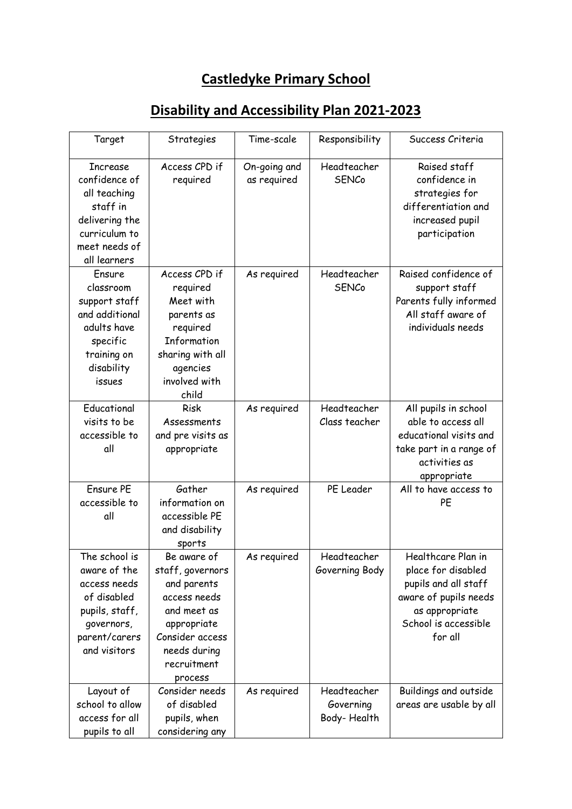## **Castledyke Primary School**

| Target                                                                                                                           | Strategies                                                                                                                                                | Time-scale                  | Responsibility                          | Success Criteria                                                                                                                               |
|----------------------------------------------------------------------------------------------------------------------------------|-----------------------------------------------------------------------------------------------------------------------------------------------------------|-----------------------------|-----------------------------------------|------------------------------------------------------------------------------------------------------------------------------------------------|
| <b>Increase</b><br>confidence of<br>all teaching<br>staff in<br>delivering the<br>curriculum to<br>meet needs of<br>all learners | Access CPD if<br>required                                                                                                                                 | On-going and<br>as required | Headteacher<br><b>SENCo</b>             | Raised staff<br>confidence in<br>strategies for<br>differentiation and<br>increased pupil<br>participation                                     |
| Ensure<br>classroom<br>support staff<br>and additional<br>adults have<br>specific<br>training on<br>disability<br>issues         | Access CPD if<br>required<br>Meet with<br>parents as<br>required<br>Information<br>sharing with all<br>agencies<br>involved with<br>child                 | As required                 | Headteacher<br><b>SENCo</b>             | Raised confidence of<br>support staff<br>Parents fully informed<br>All staff aware of<br>individuals needs                                     |
| Educational<br>visits to be<br>accessible to<br>all                                                                              | <b>Risk</b><br>Assessments<br>and pre visits as<br>appropriate                                                                                            | As required                 | Headteacher<br>Class teacher            | All pupils in school<br>able to access all<br>educational visits and<br>take part in a range of<br>activities as<br>appropriate                |
| Ensure PE<br>accessible to<br>all                                                                                                | Gather<br>information on<br>accessible PE<br>and disability<br>sports                                                                                     | As required                 | PE Leader                               | All to have access to<br>PE                                                                                                                    |
| The school is<br>aware of the<br>access needs<br>of disabled<br>pupils, staff,<br>governors,<br>parent/carers<br>and visitors    | Be aware of<br>staff, governors<br>and parents<br>access needs<br>and meet as<br>appropriate<br>Consider access<br>needs during<br>recruitment<br>process | As required                 | Headteacher<br>Governing Body           | Healthcare Plan in<br>place for disabled<br>pupils and all staff<br>aware of pupils needs<br>as appropriate<br>School is accessible<br>for all |
| Layout of<br>school to allow<br>access for all<br>pupils to all                                                                  | Consider needs<br>of disabled<br>pupils, when<br>considering any                                                                                          | As required                 | Headteacher<br>Governing<br>Body-Health | Buildings and outside<br>areas are usable by all                                                                                               |

## **Disability and Accessibility Plan 2021-2023**